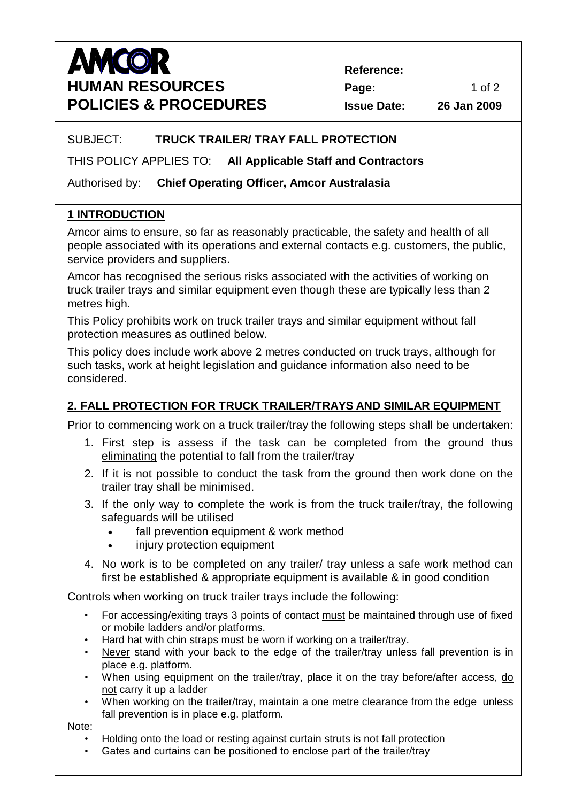# **AMCOR HUMAN RESOURCES Page: Page:** 1 of 2 **POLICIES & PROCEDURES Issue Date: 26 Jan 2009**

 **Reference:**

#### SUBJECT: **TRUCK TRAILER/ TRAY FALL PROTECTION**

THIS POLICY APPLIES TO: **All Applicable Staff and Contractors**

Authorised by: **Chief Operating Officer, Amcor Australasia**

### **1 INTRODUCTION**

Amcor aims to ensure, so far as reasonably practicable, the safety and health of all people associated with its operations and external contacts e.g. customers, the public, service providers and suppliers.

Amcor has recognised the serious risks associated with the activities of working on truck trailer trays and similar equipment even though these are typically less than 2 metres high.

This Policy prohibits work on truck trailer trays and similar equipment without fall protection measures as outlined below.

This policy does include work above 2 metres conducted on truck trays, although for such tasks, work at height legislation and guidance information also need to be considered.

# **2. FALL PROTECTION FOR TRUCK TRAILER/TRAYS AND SIMILAR EQUIPMENT**

Prior to commencing work on a truck trailer/tray the following steps shall be undertaken:

- 1. First step is assess if the task can be completed from the ground thus eliminating the potential to fall from the trailer/tray
- 2. If it is not possible to conduct the task from the ground then work done on the trailer tray shall be minimised.
- 3. If the only way to complete the work is from the truck trailer/tray, the following safeguards will be utilised
	- fall prevention equipment & work method
	- injury protection equipment
- 4. No work is to be completed on any trailer/ tray unless a safe work method can first be established & appropriate equipment is available & in good condition

Controls when working on truck trailer trays include the following:

- For accessing/exiting trays 3 points of contact must be maintained through use of fixed or mobile ladders and/or platforms.
- Hard hat with chin straps must be worn if working on a trailer/tray.
- Never stand with your back to the edge of the trailer/tray unless fall prevention is in place e.g. platform.
- When using equipment on the trailer/tray, place it on the tray before/after access, do not carry it up a ladder
- When working on the trailer/tray, maintain a one metre clearance from the edge unless fall prevention is in place e.g. platform.

Note:

- Holding onto the load or resting against curtain struts is not fall protection
- Gates and curtains can be positioned to enclose part of the trailer/tray